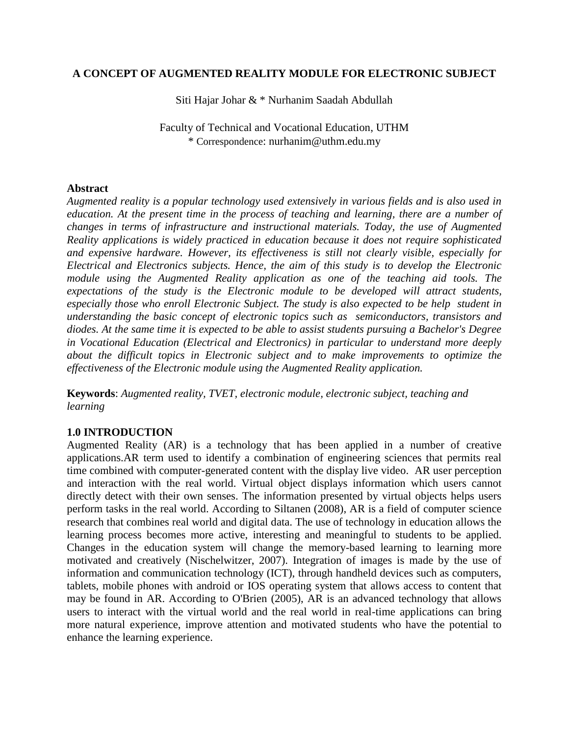## **A CONCEPT OF AUGMENTED REALITY MODULE FOR ELECTRONIC SUBJECT**

Siti Hajar Johar & \* Nurhanim Saadah Abdullah

Faculty of Technical and Vocational Education, UTHM \* Correspondence: nurhanim@uthm.edu.my

## **Abstract**

*Augmented reality is a popular technology used extensively in various fields and is also used in education. At the present time in the process of teaching and learning, there are a number of changes in terms of infrastructure and instructional materials. Today, the use of Augmented Reality applications is widely practiced in education because it does not require sophisticated and expensive hardware. However, its effectiveness is still not clearly visible, especially for Electrical and Electronics subjects. Hence, the aim of this study is to develop the Electronic module using the Augmented Reality application as one of the teaching aid tools. The expectations of the study is the Electronic module to be developed will attract students, especially those who enroll Electronic Subject. The study is also expected to be help student in understanding the basic concept of electronic topics such as semiconductors, transistors and diodes. At the same time it is expected to be able to assist students pursuing a Bachelor's Degree in Vocational Education (Electrical and Electronics) in particular to understand more deeply about the difficult topics in Electronic subject and to make improvements to optimize the effectiveness of the Electronic module using the Augmented Reality application.*

**Keywords**: *Augmented reality, TVET, electronic module, electronic subject, teaching and learning*

# **1.0 INTRODUCTION**

Augmented Reality (AR) is a technology that has been applied in a number of creative applications.AR term used to identify a combination of engineering sciences that permits real time combined with computer-generated content with the display live video. AR user perception and interaction with the real world. Virtual object displays information which users cannot directly detect with their own senses. The information presented by virtual objects helps users perform tasks in the real world. According to Siltanen (2008), AR is a field of computer science research that combines real world and digital data. The use of technology in education allows the learning process becomes more active, interesting and meaningful to students to be applied. Changes in the education system will change the memory-based learning to learning more motivated and creatively (Nischelwitzer, 2007). Integration of images is made by the use of information and communication technology (ICT), through handheld devices such as computers, tablets, mobile phones with android or IOS operating system that allows access to content that may be found in AR. According to O'Brien (2005), AR is an advanced technology that allows users to interact with the virtual world and the real world in real-time applications can bring more natural experience, improve attention and motivated students who have the potential to enhance the learning experience.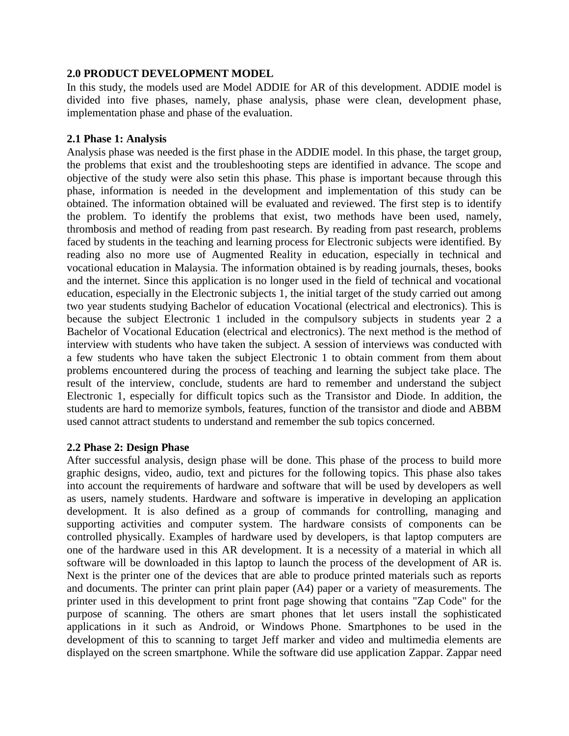## **2.0 PRODUCT DEVELOPMENT MODEL**

In this study, the models used are Model ADDIE for AR of this development. ADDIE model is divided into five phases, namely, phase analysis, phase were clean, development phase, implementation phase and phase of the evaluation.

## **2.1 Phase 1: Analysis**

Analysis phase was needed is the first phase in the ADDIE model. In this phase, the target group, the problems that exist and the troubleshooting steps are identified in advance. The scope and objective of the study were also setin this phase. This phase is important because through this phase, information is needed in the development and implementation of this study can be obtained. The information obtained will be evaluated and reviewed. The first step is to identify the problem. To identify the problems that exist, two methods have been used, namely, thrombosis and method of reading from past research. By reading from past research, problems faced by students in the teaching and learning process for Electronic subjects were identified. By reading also no more use of Augmented Reality in education, especially in technical and vocational education in Malaysia. The information obtained is by reading journals, theses, books and the internet. Since this application is no longer used in the field of technical and vocational education, especially in the Electronic subjects 1, the initial target of the study carried out among two year students studying Bachelor of education Vocational (electrical and electronics). This is because the subject Electronic 1 included in the compulsory subjects in students year 2 a Bachelor of Vocational Education (electrical and electronics). The next method is the method of interview with students who have taken the subject. A session of interviews was conducted with a few students who have taken the subject Electronic 1 to obtain comment from them about problems encountered during the process of teaching and learning the subject take place. The result of the interview, conclude, students are hard to remember and understand the subject Electronic 1, especially for difficult topics such as the Transistor and Diode. In addition, the students are hard to memorize symbols, features, function of the transistor and diode and ABBM used cannot attract students to understand and remember the sub topics concerned.

### **2.2 Phase 2: Design Phase**

After successful analysis, design phase will be done. This phase of the process to build more graphic designs, video, audio, text and pictures for the following topics. This phase also takes into account the requirements of hardware and software that will be used by developers as well as users, namely students. Hardware and software is imperative in developing an application development. It is also defined as a group of commands for controlling, managing and supporting activities and computer system. The hardware consists of components can be controlled physically. Examples of hardware used by developers, is that laptop computers are one of the hardware used in this AR development. It is a necessity of a material in which all software will be downloaded in this laptop to launch the process of the development of AR is. Next is the printer one of the devices that are able to produce printed materials such as reports and documents. The printer can print plain paper (A4) paper or a variety of measurements. The printer used in this development to print front page showing that contains "Zap Code" for the purpose of scanning. The others are smart phones that let users install the sophisticated applications in it such as Android, or Windows Phone. Smartphones to be used in the development of this to scanning to target Jeff marker and video and multimedia elements are displayed on the screen smartphone. While the software did use application Zappar. Zappar need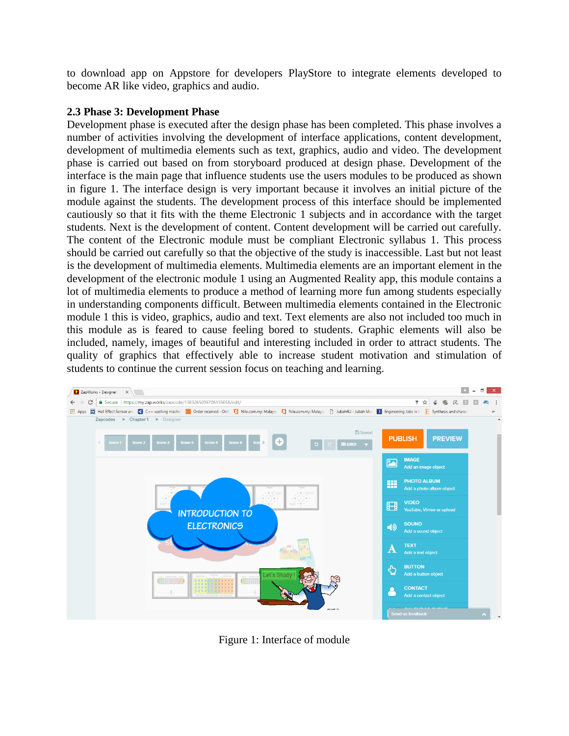to download app on Appstore for developers PlayStore to integrate elements developed to become AR like video, graphics and audio.

## **2.3 Phase 3: Development Phase**

Development phase is executed after the design phase has been completed. This phase involves a number of activities involving the development of interface applications, content development, development of multimedia elements such as text, graphics, audio and video. The development phase is carried out based on from storyboard produced at design phase. Development of the interface is the main page that influence students use the users modules to be produced as shown in figure 1. The interface design is very important because it involves an initial picture of the module against the students. The development process of this interface should be implemented cautiously so that it fits with the theme Electronic 1 subjects and in accordance with the target students. Next is the development of content. Content development will be carried out carefully. The content of the Electronic module must be compliant Electronic syllabus 1. This process should be carried out carefully so that the objective of the study is inaccessible. Last but not least is the development of multimedia elements. Multimedia elements are an important element in the development of the electronic module 1 using an Augmented Reality app, this module contains a lot of multimedia elements to produce a method of learning more fun among students especially in understanding components difficult. Between multimedia elements contained in the Electronic module 1 this is video, graphics, audio and text. Text elements are also not included too much in this module as is feared to cause feeling bored to students. Graphic elements will also be included, namely, images of beautiful and interesting included in order to attract students. The quality of graphics that effectively able to increase student motivation and stimulation of students to continue the current session focus on teaching and learning.



Figure 1: Interface of module